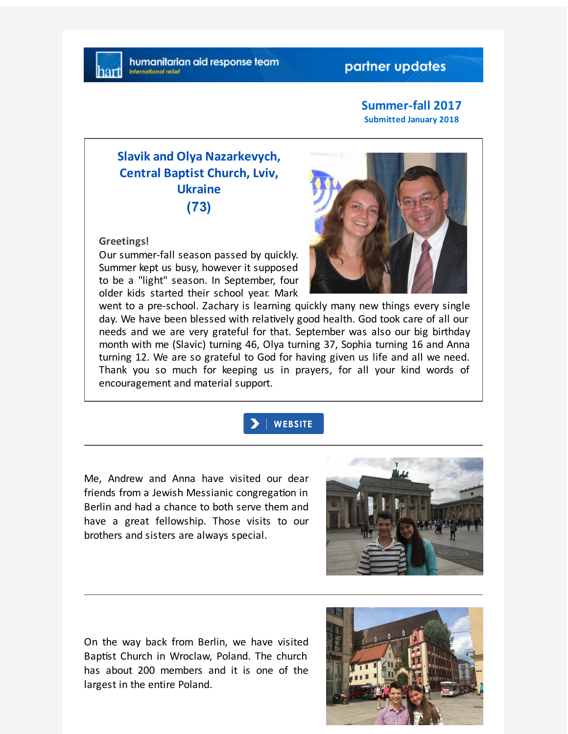## partner updates

#### **Summer-fall 2017 Submitted January 2018**

# **Slavik and Olya Nazarkevych, Central Baptist Church, Lviv, Ukraine (73)**

#### **Greetings!**

Our summer-fall season passed by quickly. Summer kept us busy, however it supposed to be a "light" season. In September, four older kids started their school year. Mark



went to a pre-school. Zachary is learning quickly many new things every single day. We have been blessed with relatively good health. God took care of all our needs and we are very grateful for that. September was also our big birthday month with me (Slavic) turning 46, Olya turning 37, Sophia turning 16 and Anna turning 12. We are so grateful to God for having given us life and all we need. Thank you so much for keeping us in prayers, for all your kind words of encouragement and material support.



Me, Andrew and Anna have visited our dear friends from a Jewish Messianic congregation in Berlin and had a chance to both serve them and have a great fellowship. Those visits to our brothers and sisters are always special.



On the way back from Berlin, we have visited Baptist Church in Wroclaw, Poland. The church has about 200 members and it is one of the largest in the entire Poland.

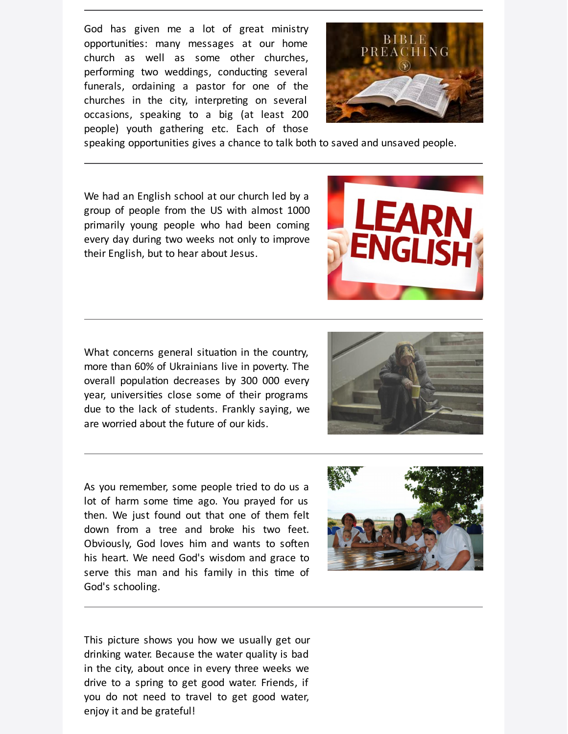God has given me a lot of great ministry opportunities: many messages at our home church as well as some other churches, performing two weddings, conducting several funerals, ordaining a pastor for one of the churches in the city, interpreting on several occasions, speaking to a big (at least 200 people) youth gathering etc. Each of those



speaking opportunities gives a chance to talk both to saved and unsaved people.

We had an English school at our church led by a group of people from the US with almost 1000 primarily young people who had been coming every day during two weeks not only to improve their English, but to hear about Jesus.



What concerns general situation in the country, more than 60% of Ukrainians live in poverty. The overall population decreases by 300 000 every year, universities close some of their programs due to the lack of students. Frankly saying, we are worried about the future of our kids.





As you remember, some people tried to do us a lot of harm some time ago. You prayed for us then. We just found out that one of them felt down from a tree and broke his two feet. Obviously, God loves him and wants to soften his heart. We need God's wisdom and grace to serve this man and his family in this time of God's schooling.



This picture shows you how we usually get our drinking water. Because the water quality is bad in the city, about once in every three weeks we drive to a spring to get good water. Friends, if you do not need to travel to get good water, enjoy it and be grateful!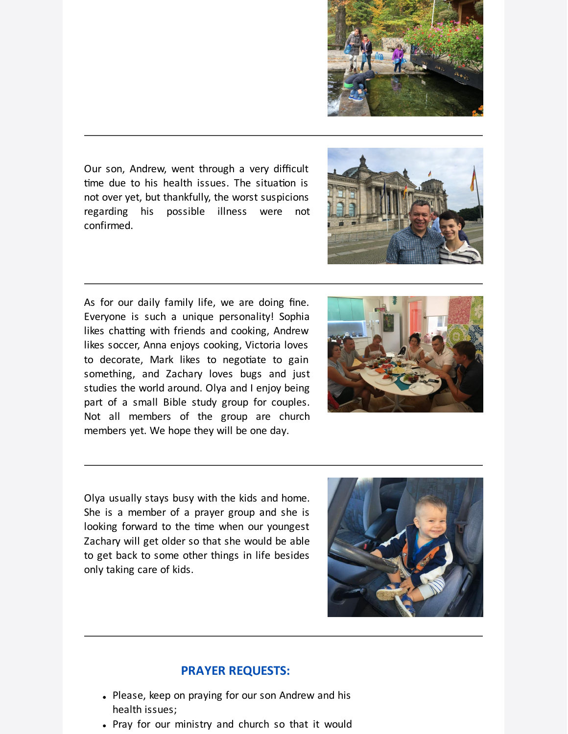

Our son, Andrew, went through a very difficult time due to his health issues. The situation is not over yet, but thankfully, the worst suspicions regarding his possible illness were not confirmed.



As for our daily family life, we are doing fine. Everyone is such a unique personality! Sophia likes chatting with friends and cooking, Andrew likes soccer, Anna enjoys cooking, Victoria loves to decorate, Mark likes to negotiate to gain something, and Zachary loves bugs and just studies the world around. Olya and I enjoy being part of a small Bible study group for couples. Not all members of the group are church members yet. We hope they will be one day.



Olya usually stays busy with the kids and home. She is a member of a prayer group and she is looking forward to the time when our youngest Zachary will get older so that she would be able to get back to some other things in life besides only taking care of kids.



## **PRAYER REQUESTS:**

- Please, keep on praying for our son Andrew and his health issues;
- Pray for our ministry and church so that it would